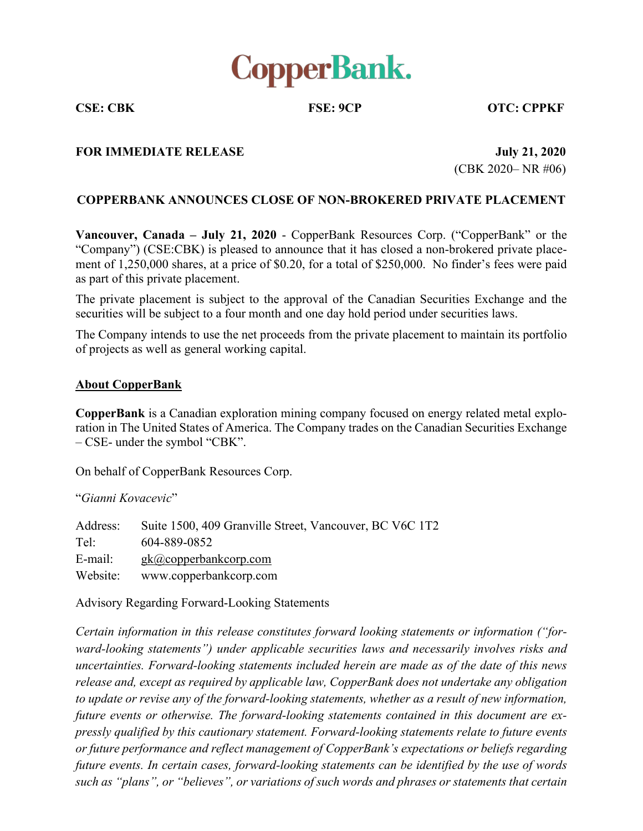

**CSE: CBK FSE: 9CP OTC: CPPKF**

## **FOR IMMEDIATE RELEASE July 21, 2020**

**(CBK 2020– NR #06)** 

## **COPPERBANK ANNOUNCES CLOSE OF NON-BROKERED PRIVATE PLACEMENT**

**Vancouver, Canada – July 21, 2020** - CopperBank Resources Corp. ("CopperBank" or the "Company") (CSE:CBK) is pleased to announce that it has closed a non-brokered private placement of  $1,250,000$  shares, at a price of \$0.20, for a total of \$250,000. No finder's fees were paid as part of this private placement.

The private placement is subject to the approval of the Canadian Securities Exchange and the securities will be subject to a four month and one day hold period under securities laws.

The Company intends to use the net proceeds from the private placement to maintain its portfolio of projects as well as general working capital.

## **About CopperBank**

**CopperBank** is a Canadian exploration mining company focused on energy related metal exploration in The United States of America. The Company trades on the Canadian Securities Exchange  $-$  CSE- under the symbol "CBK".

On behalf of CopperBank Resources Corp.

³*Gianni Kovacevic*´

Address: Suite 1500, 409 Granville Street, Vancouver, BC V6C 1T2 Tel: 604-889-0852 E-mail: gk@copperbankcorp.com Website: www.copperbankcorp.com

Advisory Regarding Forward-Looking Statements

*Certain information in this release constitutes forward looking statements or information ("forward-looking statements*") *under applicable securities laws and necessarily involves risks and uncertainties. Forward-looking statements included herein are made as of the date of this news release and, except as required by applicable law, CopperBank does not undertake any obligation to update or revise any of the forward-looking statements, whether as a result of new information, future events or otherwise. The forward-looking statements contained in this document are expressly qualified by this cautionary statement. Forward-looking statements relate to future events or* future performance and reflect management of CopperBank's expectations or beliefs regarding *future events. In certain cases, forward-looking statements can be identified by the use of words such* as "*plans*", *or* "*believes*", *or variations of such words and phrases or statements that certain*